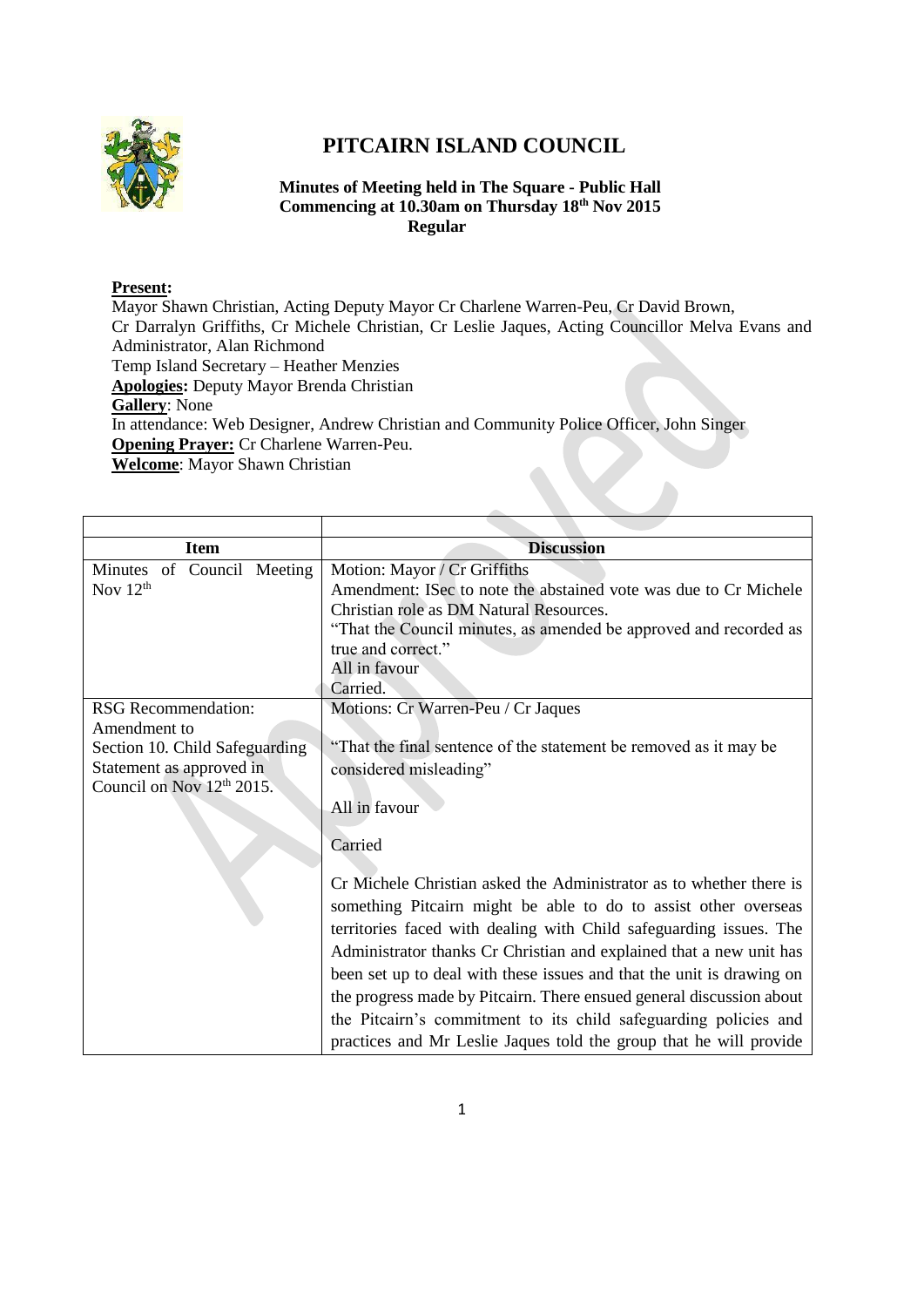

## **PITCAIRN ISLAND COUNCIL**

## **Minutes of Meeting held in The Square - Public Hall Commencing at 10.30am on Thursday 18th Nov 2015 Regular**

## **Present:**

Mayor Shawn Christian, Acting Deputy Mayor Cr Charlene Warren-Peu, Cr David Brown, Cr Darralyn Griffiths, Cr Michele Christian, Cr Leslie Jaques, Acting Councillor Melva Evans and Administrator, Alan Richmond Temp Island Secretary – Heather Menzies **Apologies:** Deputy Mayor Brenda Christian **Gallery**: None In attendance: Web Designer, Andrew Christian and Community Police Officer, John Singer **Opening Prayer:** Cr Charlene Warren-Peu.

**Welcome**: Mayor Shawn Christian

| <b>Item</b>                                                                                | <b>Discussion</b>                                                                                                                                                                                                                                                                                                                                                                                                                                                                                                                                                                         |
|--------------------------------------------------------------------------------------------|-------------------------------------------------------------------------------------------------------------------------------------------------------------------------------------------------------------------------------------------------------------------------------------------------------------------------------------------------------------------------------------------------------------------------------------------------------------------------------------------------------------------------------------------------------------------------------------------|
| Minutes of Council Meeting<br>Nov $12^{th}$                                                | Motion: Mayor / Cr Griffiths<br>Amendment: ISec to note the abstained vote was due to Cr Michele<br>Christian role as DM Natural Resources.<br>"That the Council minutes, as amended be approved and recorded as<br>true and correct."<br>All in favour<br>Carried.                                                                                                                                                                                                                                                                                                                       |
| <b>RSG</b> Recommendation:<br>Amendment to                                                 | Motions: Cr Warren-Peu / Cr Jaques                                                                                                                                                                                                                                                                                                                                                                                                                                                                                                                                                        |
| Section 10. Child Safeguarding<br>Statement as approved in<br>Council on Nov $12th 2015$ . | "That the final sentence of the statement be removed as it may be<br>considered misleading"<br>All in favour                                                                                                                                                                                                                                                                                                                                                                                                                                                                              |
|                                                                                            | Carried<br>Cr Michele Christian asked the Administrator as to whether there is<br>something Pitcairn might be able to do to assist other overseas<br>territories faced with dealing with Child safeguarding issues. The<br>Administrator thanks Cr Christian and explained that a new unit has<br>been set up to deal with these issues and that the unit is drawing on<br>the progress made by Pitcairn. There ensued general discussion about<br>the Pitcairn's commitment to its child safeguarding policies and<br>practices and Mr Leslie Jaques told the group that he will provide |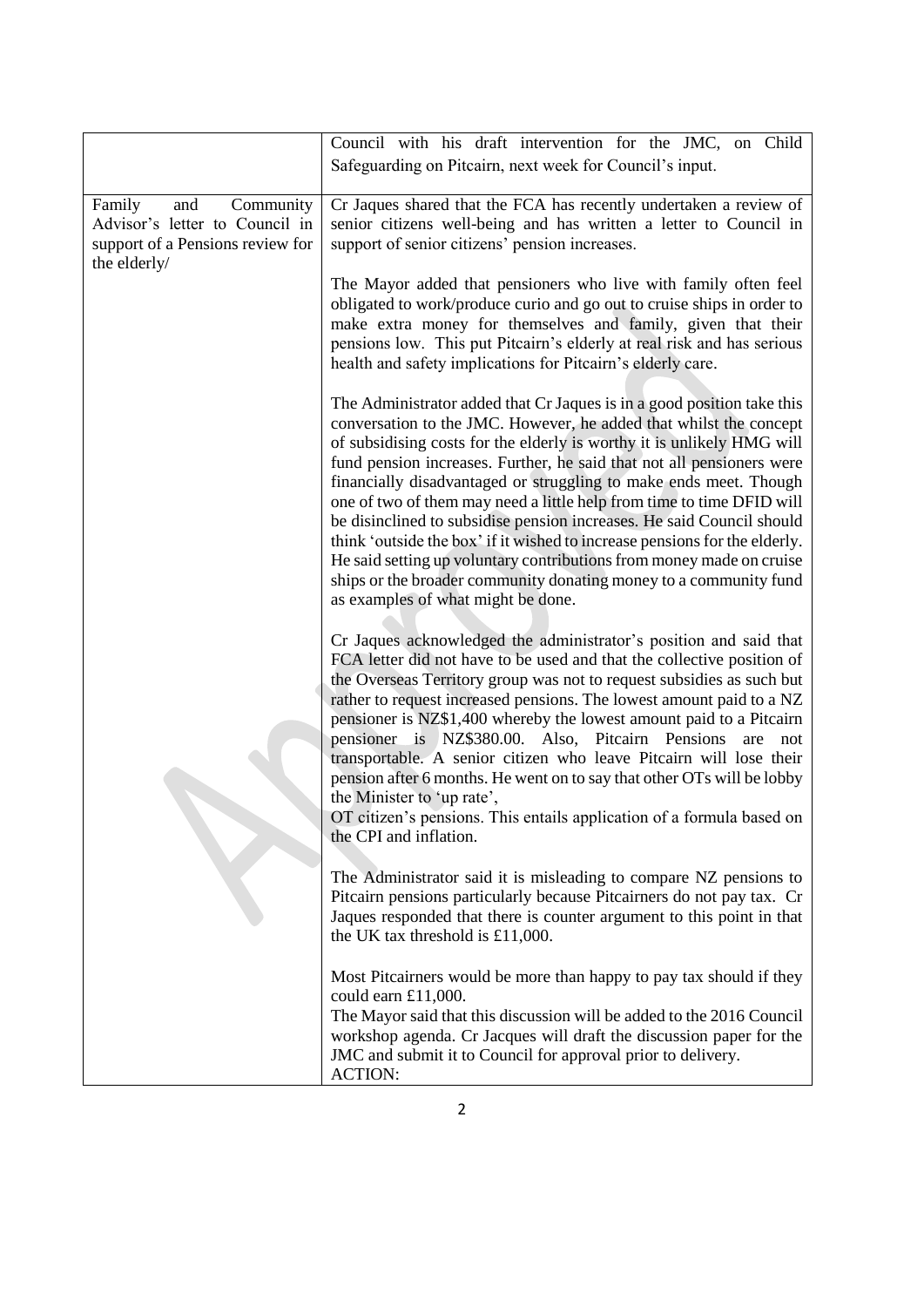|                                                                                                                  | Council with his draft intervention for the JMC, on Child<br>Safeguarding on Pitcairn, next week for Council's input.                                                                                                                                                                                                                                                                                                                                                                                                                                                                                                                                                                                                                                                                   |
|------------------------------------------------------------------------------------------------------------------|-----------------------------------------------------------------------------------------------------------------------------------------------------------------------------------------------------------------------------------------------------------------------------------------------------------------------------------------------------------------------------------------------------------------------------------------------------------------------------------------------------------------------------------------------------------------------------------------------------------------------------------------------------------------------------------------------------------------------------------------------------------------------------------------|
| Family<br>Community<br>and<br>Advisor's letter to Council in<br>support of a Pensions review for<br>the elderly/ | Cr Jaques shared that the FCA has recently undertaken a review of<br>senior citizens well-being and has written a letter to Council in<br>support of senior citizens' pension increases.                                                                                                                                                                                                                                                                                                                                                                                                                                                                                                                                                                                                |
|                                                                                                                  | The Mayor added that pensioners who live with family often feel<br>obligated to work/produce curio and go out to cruise ships in order to<br>make extra money for themselves and family, given that their<br>pensions low. This put Pitcairn's elderly at real risk and has serious<br>health and safety implications for Pitcairn's elderly care.                                                                                                                                                                                                                                                                                                                                                                                                                                      |
|                                                                                                                  | The Administrator added that Cr Jaques is in a good position take this<br>conversation to the JMC. However, he added that whilst the concept<br>of subsidising costs for the elderly is worthy it is unlikely HMG will<br>fund pension increases. Further, he said that not all pensioners were<br>financially disadvantaged or struggling to make ends meet. Though<br>one of two of them may need a little help from time to time DFID will<br>be disinclined to subsidise pension increases. He said Council should<br>think 'outside the box' if it wished to increase pensions for the elderly.<br>He said setting up voluntary contributions from money made on cruise<br>ships or the broader community donating money to a community fund<br>as examples of what might be done. |
|                                                                                                                  | Cr Jaques acknowledged the administrator's position and said that<br>FCA letter did not have to be used and that the collective position of<br>the Overseas Territory group was not to request subsidies as such but<br>rather to request increased pensions. The lowest amount paid to a NZ<br>pensioner is NZ\$1,400 whereby the lowest amount paid to a Pitcairn<br>pensioner is NZ\$380.00. Also, Pitcairn Pensions are<br>not<br>transportable. A senior citizen who leave Pitcairn will lose their<br>pension after 6 months. He went on to say that other OTs will be lobby<br>the Minister to 'up rate',<br>OT citizen's pensions. This entails application of a formula based on<br>the CPI and inflation.                                                                     |
|                                                                                                                  | The Administrator said it is misleading to compare NZ pensions to<br>Pitcairn pensions particularly because Pitcairners do not pay tax. Cr<br>Jaques responded that there is counter argument to this point in that<br>the UK tax threshold is £11,000.                                                                                                                                                                                                                                                                                                                                                                                                                                                                                                                                 |
|                                                                                                                  | Most Pitcairners would be more than happy to pay tax should if they<br>could earn £11,000.<br>The Mayor said that this discussion will be added to the 2016 Council<br>workshop agenda. Cr Jacques will draft the discussion paper for the<br>JMC and submit it to Council for approval prior to delivery.<br><b>ACTION:</b>                                                                                                                                                                                                                                                                                                                                                                                                                                                            |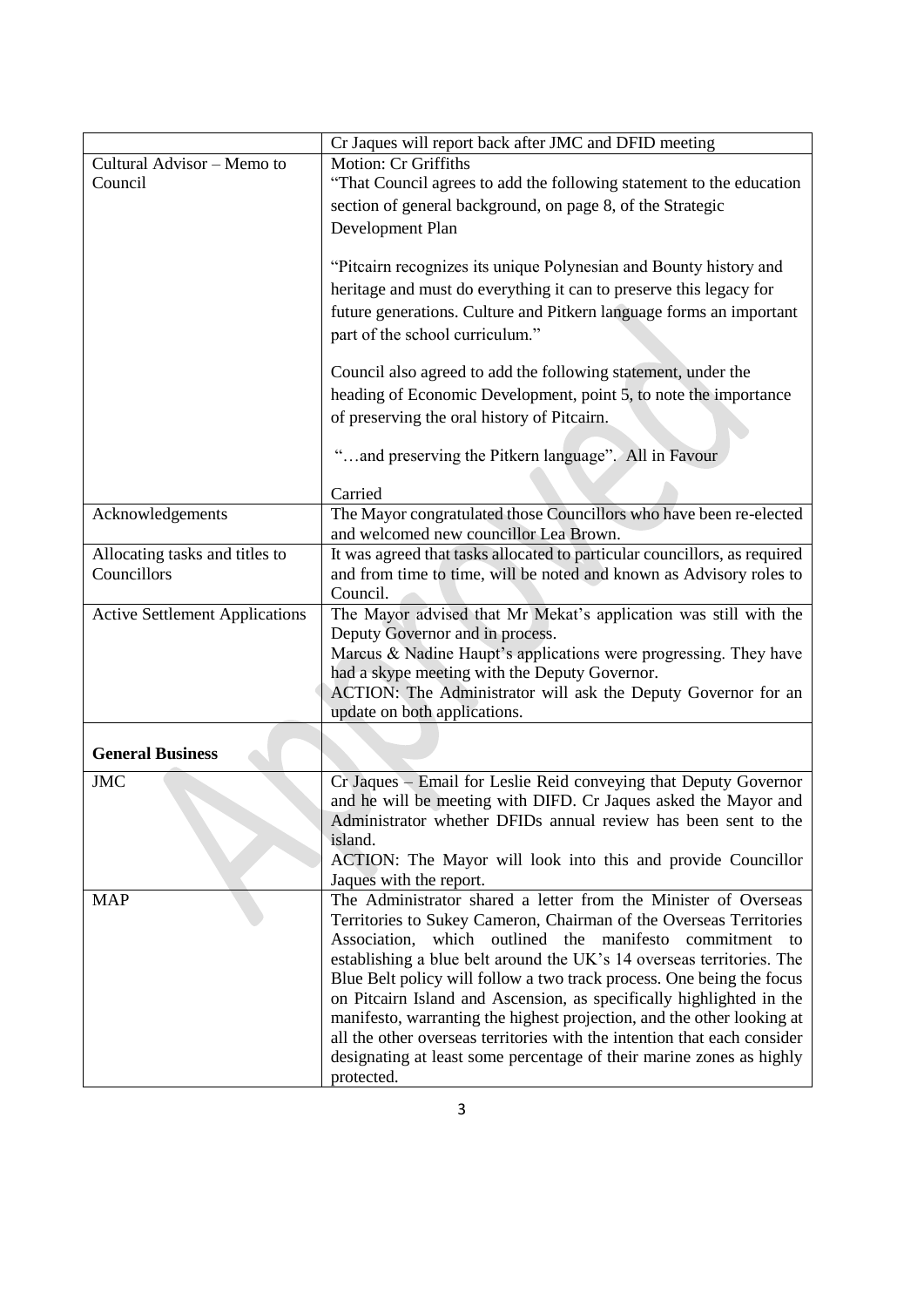|                                       | Cr Jaques will report back after JMC and DFID meeting                                                        |
|---------------------------------------|--------------------------------------------------------------------------------------------------------------|
| Cultural Advisor - Memo to            | Motion: Cr Griffiths                                                                                         |
| Council                               | "That Council agrees to add the following statement to the education                                         |
|                                       | section of general background, on page 8, of the Strategic                                                   |
|                                       | Development Plan                                                                                             |
|                                       |                                                                                                              |
|                                       | "Pitcairn recognizes its unique Polynesian and Bounty history and                                            |
|                                       | heritage and must do everything it can to preserve this legacy for                                           |
|                                       | future generations. Culture and Pitkern language forms an important                                          |
|                                       | part of the school curriculum."                                                                              |
|                                       |                                                                                                              |
|                                       | Council also agreed to add the following statement, under the                                                |
|                                       | heading of Economic Development, point 5, to note the importance                                             |
|                                       | of preserving the oral history of Pitcairn.                                                                  |
|                                       |                                                                                                              |
|                                       | "and preserving the Pitkern language". All in Favour                                                         |
|                                       |                                                                                                              |
|                                       | Carried                                                                                                      |
| Acknowledgements                      | The Mayor congratulated those Councillors who have been re-elected<br>and welcomed new councillor Lea Brown. |
| Allocating tasks and titles to        | It was agreed that tasks allocated to particular councillors, as required                                    |
| Councillors                           | and from time to time, will be noted and known as Advisory roles to                                          |
|                                       | Council.                                                                                                     |
| <b>Active Settlement Applications</b> | The Mayor advised that Mr Mekat's application was still with the                                             |
|                                       | Deputy Governor and in process.                                                                              |
|                                       | Marcus & Nadine Haupt's applications were progressing. They have                                             |
|                                       | had a skype meeting with the Deputy Governor.                                                                |
|                                       | ACTION: The Administrator will ask the Deputy Governor for an                                                |
|                                       | update on both applications.                                                                                 |
|                                       |                                                                                                              |
| <b>General Business</b>               |                                                                                                              |
| <b>JMC</b>                            | Cr Jaques - Email for Leslie Reid conveying that Deputy Governor                                             |
|                                       | and he will be meeting with DIFD. Cr Jaques asked the Mayor and                                              |
|                                       | Administrator whether DFIDs annual review has been sent to the                                               |
|                                       | island.                                                                                                      |
|                                       | ACTION: The Mayor will look into this and provide Councillor                                                 |
| <b>MAP</b>                            | Jaques with the report.<br>The Administrator shared a letter from the Minister of Overseas                   |
|                                       | Territories to Sukey Cameron, Chairman of the Overseas Territories                                           |
|                                       | Association,<br>which outlined the manifesto commitment to                                                   |
|                                       | establishing a blue belt around the UK's 14 overseas territories. The                                        |
|                                       | Blue Belt policy will follow a two track process. One being the focus                                        |
|                                       | on Pitcairn Island and Ascension, as specifically highlighted in the                                         |
|                                       | manifesto, warranting the highest projection, and the other looking at                                       |
|                                       | all the other overseas territories with the intention that each consider                                     |
|                                       | designating at least some percentage of their marine zones as highly                                         |
|                                       | protected.                                                                                                   |